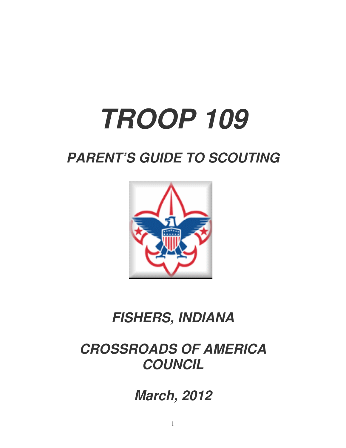# **TROOP 109**

# **PARENT'S GUIDE TO SCOUTING**



# **FISHERS, INDIANA**

# **CROSSROADS OF AMERICA COUNCIL**

**March, 2012**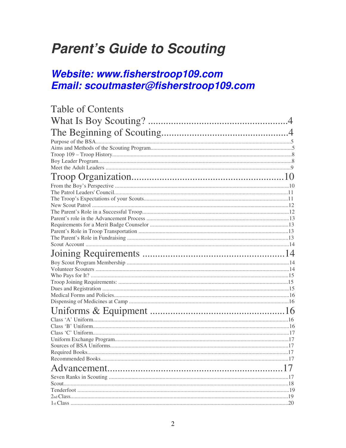# **Parent's Guide to Scouting**

## Website: www.fisherstroop109.com Email: scoutmaster@fisherstroop109.com

| <b>Table of Contents</b> |  |
|--------------------------|--|
|                          |  |
|                          |  |
|                          |  |
|                          |  |
|                          |  |
|                          |  |
|                          |  |
|                          |  |
|                          |  |
|                          |  |
|                          |  |
|                          |  |
|                          |  |
|                          |  |
|                          |  |
|                          |  |
|                          |  |
|                          |  |
|                          |  |
|                          |  |
|                          |  |
|                          |  |
|                          |  |
|                          |  |
|                          |  |
|                          |  |
|                          |  |
|                          |  |
|                          |  |
|                          |  |
|                          |  |
|                          |  |
|                          |  |
|                          |  |
|                          |  |
|                          |  |
|                          |  |
|                          |  |
|                          |  |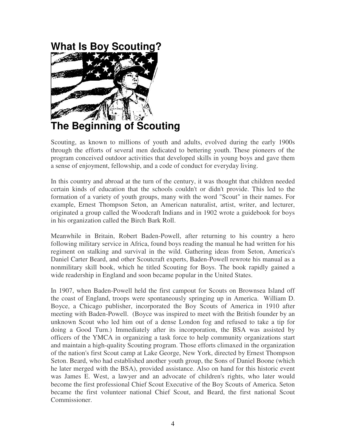# **What Is Boy Scouting?**



**The Beginning of Scouting** 

Scouting, as known to millions of youth and adults, evolved during the early 1900s through the efforts of several men dedicated to bettering youth. These pioneers of the program conceived outdoor activities that developed skills in young boys and gave them a sense of enjoyment, fellowship, and a code of conduct for everyday living.

In this country and abroad at the turn of the century, it was thought that children needed certain kinds of education that the schools couldn't or didn't provide. This led to the formation of a variety of youth groups, many with the word "Scout" in their names. For example, Ernest Thompson Seton, an American naturalist, artist, writer, and lecturer, originated a group called the Woodcraft Indians and in 1902 wrote a guidebook for boys in his organization called the Birch Bark Roll.

Meanwhile in Britain, Robert Baden-Powell, after returning to his country a hero following military service in Africa, found boys reading the manual he had written for his regiment on stalking and survival in the wild. Gathering ideas from Seton, America's Daniel Carter Beard, and other Scoutcraft experts, Baden-Powell rewrote his manual as a nonmilitary skill book, which he titled Scouting for Boys. The book rapidly gained a wide readership in England and soon became popular in the United States.

In 1907, when Baden-Powell held the first campout for Scouts on Brownsea Island off the coast of England, troops were spontaneously springing up in America. William D. Boyce, a Chicago publisher, incorporated the Boy Scouts of America in 1910 after meeting with Baden-Powell. (Boyce was inspired to meet with the British founder by an unknown Scout who led him out of a dense London fog and refused to take a tip for doing a Good Turn.) Immediately after its incorporation, the BSA was assisted by officers of the YMCA in organizing a task force to help community organizations start and maintain a high-quality Scouting program. Those efforts climaxed in the organization of the nation's first Scout camp at Lake George, New York, directed by Ernest Thompson Seton. Beard, who had established another youth group, the Sons of Daniel Boone (which he later merged with the BSA), provided assistance. Also on hand for this historic event was James E. West, a lawyer and an advocate of children's rights, who later would become the first professional Chief Scout Executive of the Boy Scouts of America. Seton became the first volunteer national Chief Scout, and Beard, the first national Scout Commissioner.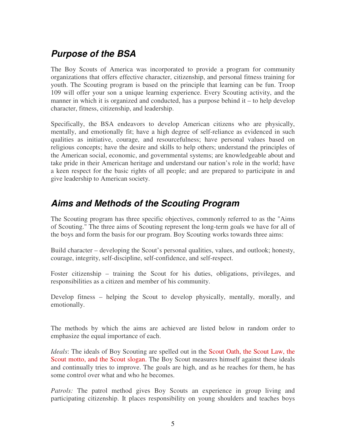#### **Purpose of the BSA**

The Boy Scouts of America was incorporated to provide a program for community organizations that offers effective character, citizenship, and personal fitness training for youth. The Scouting program is based on the principle that learning can be fun. Troop 109 will offer your son a unique learning experience. Every Scouting activity, and the manner in which it is organized and conducted, has a purpose behind it – to help develop character, fitness, citizenship, and leadership.

Specifically, the BSA endeavors to develop American citizens who are physically, mentally, and emotionally fit; have a high degree of self-reliance as evidenced in such qualities as initiative, courage, and resourcefulness; have personal values based on religious concepts; have the desire and skills to help others; understand the principles of the American social, economic, and governmental systems; are knowledgeable about and take pride in their American heritage and understand our nation's role in the world; have a keen respect for the basic rights of all people; and are prepared to participate in and give leadership to American society.

#### **Aims and Methods of the Scouting Program**

The Scouting program has three specific objectives, commonly referred to as the "Aims of Scouting." The three aims of Scouting represent the long-term goals we have for all of the boys and form the basis for our program. Boy Scouting works towards three aims:

Build character – developing the Scout's personal qualities, values, and outlook; honesty, courage, integrity, self-discipline, self-confidence, and self-respect.

Foster citizenship – training the Scout for his duties, obligations, privileges, and responsibilities as a citizen and member of his community.

Develop fitness – helping the Scout to develop physically, mentally, morally, and emotionally.

The methods by which the aims are achieved are listed below in random order to emphasize the equal importance of each.

*Ideals*: The ideals of Boy Scouting are spelled out in the Scout Oath, the Scout Law, the Scout motto, and the Scout slogan. The Boy Scout measures himself against these ideals and continually tries to improve. The goals are high, and as he reaches for them, he has some control over what and who he becomes.

*Patrols:* The patrol method gives Boy Scouts an experience in group living and participating citizenship. It places responsibility on young shoulders and teaches boys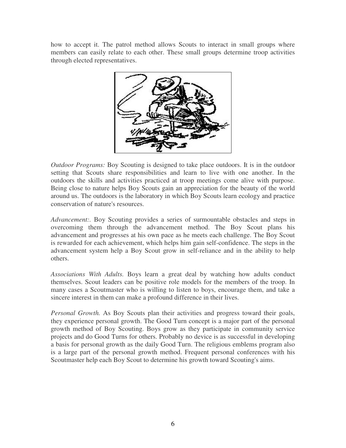how to accept it. The patrol method allows Scouts to interact in small groups where members can easily relate to each other. These small groups determine troop activities through elected representatives.



*Outdoor Programs:* Boy Scouting is designed to take place outdoors. It is in the outdoor setting that Scouts share responsibilities and learn to live with one another. In the outdoors the skills and activities practiced at troop meetings come alive with purpose. Being close to nature helps Boy Scouts gain an appreciation for the beauty of the world around us. The outdoors is the laboratory in which Boy Scouts learn ecology and practice conservation of nature's resources.

*Advancement:.* Boy Scouting provides a series of surmountable obstacles and steps in overcoming them through the advancement method. The Boy Scout plans his advancement and progresses at his own pace as he meets each challenge. The Boy Scout is rewarded for each achievement, which helps him gain self-confidence. The steps in the advancement system help a Boy Scout grow in self-reliance and in the ability to help others.

*Associations With Adults.* Boys learn a great deal by watching how adults conduct themselves. Scout leaders can be positive role models for the members of the troop. In many cases a Scoutmaster who is willing to listen to boys, encourage them, and take a sincere interest in them can make a profound difference in their lives.

*Personal Growth.* As Boy Scouts plan their activities and progress toward their goals, they experience personal growth. The Good Turn concept is a major part of the personal growth method of Boy Scouting. Boys grow as they participate in community service projects and do Good Turns for others. Probably no device is as successful in developing a basis for personal growth as the daily Good Turn. The religious emblems program also is a large part of the personal growth method. Frequent personal conferences with his Scoutmaster help each Boy Scout to determine his growth toward Scouting's aims.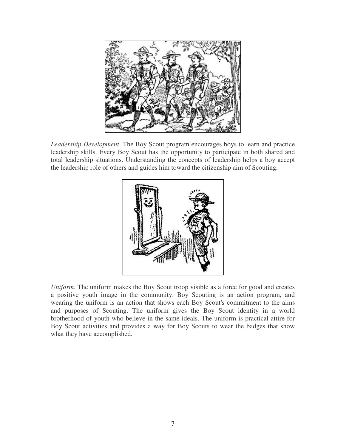

*Leadership Development.* The Boy Scout program encourages boys to learn and practice leadership skills. Every Boy Scout has the opportunity to participate in both shared and total leadership situations. Understanding the concepts of leadership helps a boy accept the leadership role of others and guides him toward the citizenship aim of Scouting.



*Uniform*. The uniform makes the Boy Scout troop visible as a force for good and creates a positive youth image in the community. Boy Scouting is an action program, and wearing the uniform is an action that shows each Boy Scout's commitment to the aims and purposes of Scouting. The uniform gives the Boy Scout identity in a world brotherhood of youth who believe in the same ideals. The uniform is practical attire for Boy Scout activities and provides a way for Boy Scouts to wear the badges that show what they have accomplished.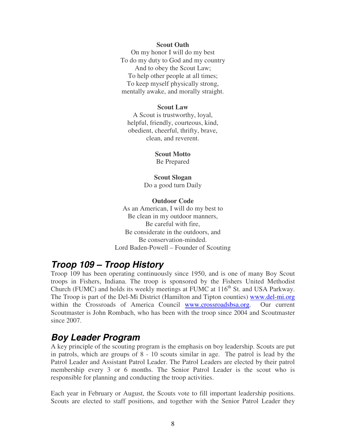#### **Scout Oath**

On my honor I will do my best To do my duty to God and my country And to obey the Scout Law; To help other people at all times; To keep myself physically strong, mentally awake, and morally straight.

#### **Scout Law**

A Scout is trustworthy, loyal, helpful, friendly, courteous, kind, obedient, cheerful, thrifty, brave, clean, and reverent.

#### **Scout Motto**

Be Prepared

#### **Scout Slogan**  Do a good turn Daily

#### **Outdoor Code**

As an American, I will do my best to Be clean in my outdoor manners, Be careful with fire, Be considerate in the outdoors, and Be conservation-minded. Lord Baden-Powell – Founder of Scouting

#### **Troop 109 – Troop History**

Troop 109 has been operating continuously since 1950, and is one of many Boy Scout troops in Fishers, Indiana. The troop is sponsored by the Fishers United Methodist Church (FUMC) and holds its weekly meetings at FUMC at  $116<sup>th</sup>$  St. and USA Parkway. The Troop is part of the Del-Mi District (Hamilton and Tipton counties) www.del-mi.org within the Crossroads of America Council www.crossroadsbsa.org. Our current Scoutmaster is John Rombach, who has been with the troop since 2004 and Scoutmaster since 2007.

#### **Boy Leader Program**

A key principle of the scouting program is the emphasis on boy leadership. Scouts are put in patrols, which are groups of 8 - 10 scouts similar in age. The patrol is lead by the Patrol Leader and Assistant Patrol Leader. The Patrol Leaders are elected by their patrol membership every 3 or 6 months. The Senior Patrol Leader is the scout who is responsible for planning and conducting the troop activities.

Each year in February or August, the Scouts vote to fill important leadership positions. Scouts are elected to staff positions, and together with the Senior Patrol Leader they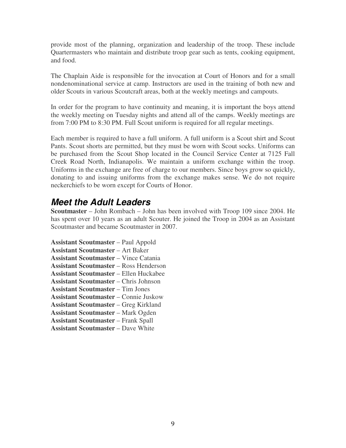provide most of the planning, organization and leadership of the troop. These include Quartermasters who maintain and distribute troop gear such as tents, cooking equipment, and food.

The Chaplain Aide is responsible for the invocation at Court of Honors and for a small nondenominational service at camp. Instructors are used in the training of both new and older Scouts in various Scoutcraft areas, both at the weekly meetings and campouts.

In order for the program to have continuity and meaning, it is important the boys attend the weekly meeting on Tuesday nights and attend all of the camps. Weekly meetings are from 7:00 PM to 8:30 PM. Full Scout uniform is required for all regular meetings.

Each member is required to have a full uniform. A full uniform is a Scout shirt and Scout Pants. Scout shorts are permitted, but they must be worn with Scout socks. Uniforms can be purchased from the Scout Shop located in the Council Service Center at 7125 Fall Creek Road North, Indianapolis. We maintain a uniform exchange within the troop. Uniforms in the exchange are free of charge to our members. Since boys grow so quickly, donating to and issuing uniforms from the exchange makes sense. We do not require neckerchiefs to be worn except for Courts of Honor.

#### **Meet the Adult Leaders**

**Scoutmaster** – John Rombach – John has been involved with Troop 109 since 2004. He has spent over 10 years as an adult Scouter. He joined the Troop in 2004 as an Assistant Scoutmaster and became Scoutmaster in 2007.

**Assistant Scoutmaster** – Paul Appold **Assistant Scoutmaster** – Art Baker **Assistant Scoutmaster** – Vince Catania **Assistant Scoutmaster** – Ross Henderson **Assistant Scoutmaster** – Ellen Huckabee **Assistant Scoutmaster** – Chris Johnson **Assistant Scoutmaster** – Tim Jones **Assistant Scoutmaster** – Connie Juskow **Assistant Scoutmaster** – Greg Kirkland **Assistant Scoutmaster** – Mark Ogden **Assistant Scoutmaster** – Frank Spall

**Assistant Scoutmaster** – Dave White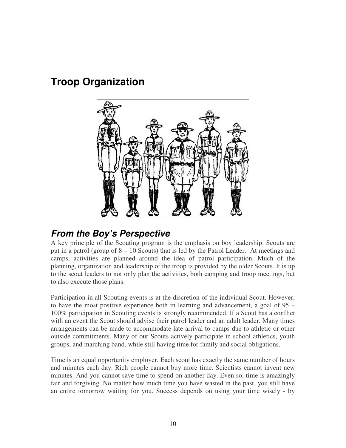# **Troop Organization**



#### **From the Boy's Perspective**

A key principle of the Scouting program is the emphasis on boy leadership. Scouts are put in a patrol (group of  $8 - 10$  Scouts) that is led by the Patrol Leader. At meetings and camps, activities are planned around the idea of patrol participation. Much of the planning, organization and leadership of the troop is provided by the older Scouts. It is up to the scout leaders to not only plan the activities, both camping and troop meetings, but to also execute those plans.

Participation in all Scouting events is at the discretion of the individual Scout. However, to have the most positive experience both in learning and advancement, a goal of 95 – 100% participation in Scouting events is strongly recommended. If a Scout has a conflict with an event the Scout should advise their patrol leader and an adult leader. Many times arrangements can be made to accommodate late arrival to camps due to athletic or other outside commitments. Many of our Scouts actively participate in school athletics, youth groups, and marching band, while still having time for family and social obligations.

Time is an equal opportunity employer. Each scout has exactly the same number of hours and minutes each day. Rich people cannot buy more time. Scientists cannot invent new minutes. And you cannot save time to spend on another day. Even so, time is amazingly fair and forgiving. No matter how much time you have wasted in the past, you still have an entire tomorrow waiting for you. Success depends on using your time wisely - by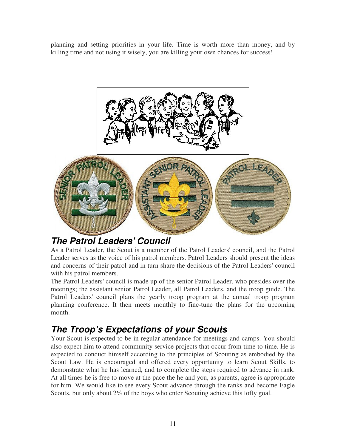planning and setting priorities in your life. Time is worth more than money, and by killing time and not using it wisely, you are killing your own chances for success!



#### **The Patrol Leaders' Council**

As a Patrol Leader, the Scout is a member of the Patrol Leaders' council, and the Patrol Leader serves as the voice of his patrol members. Patrol Leaders should present the ideas and concerns of their patrol and in turn share the decisions of the Patrol Leaders' council with his patrol members.

The Patrol Leaders' council is made up of the senior Patrol Leader, who presides over the meetings; the assistant senior Patrol Leader, all Patrol Leaders, and the troop guide. The Patrol Leaders' council plans the yearly troop program at the annual troop program planning conference. It then meets monthly to fine-tune the plans for the upcoming month.

## **The Troop's Expectations of your Scouts**

Your Scout is expected to be in regular attendance for meetings and camps. You should also expect him to attend community service projects that occur from time to time. He is expected to conduct himself according to the principles of Scouting as embodied by the Scout Law. He is encouraged and offered every opportunity to learn Scout Skills, to demonstrate what he has learned, and to complete the steps required to advance in rank. At all times he is free to move at the pace the he and you, as parents, agree is appropriate for him. We would like to see every Scout advance through the ranks and become Eagle Scouts, but only about 2% of the boys who enter Scouting achieve this lofty goal.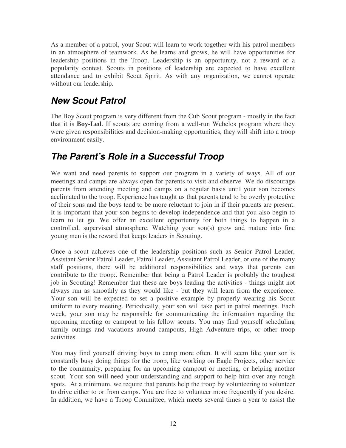As a member of a patrol, your Scout will learn to work together with his patrol members in an atmosphere of teamwork. As he learns and grows, he will have opportunities for leadership positions in the Troop. Leadership is an opportunity, not a reward or a popularity contest. Scouts in positions of leadership are expected to have excellent attendance and to exhibit Scout Spirit. As with any organization, we cannot operate without our leadership.

#### **New Scout Patrol**

The Boy Scout program is very different from the Cub Scout program - mostly in the fact that it is **Boy-Led**. If scouts are coming from a well-run Webelos program where they were given responsibilities and decision-making opportunities, they will shift into a troop environment easily.

#### **The Parent's Role in a Successful Troop**

We want and need parents to support our program in a variety of ways. All of our meetings and camps are always open for parents to visit and observe. We do discourage parents from attending meeting and camps on a regular basis until your son becomes acclimated to the troop. Experience has taught us that parents tend to be overly protective of their sons and the boys tend to be more reluctant to join in if their parents are present. It is important that your son begins to develop independence and that you also begin to learn to let go. We offer an excellent opportunity for both things to happen in a controlled, supervised atmosphere. Watching your son(s) grow and mature into fine young men is the reward that keeps leaders in Scouting.

Once a scout achieves one of the leadership positions such as Senior Patrol Leader, Assistant Senior Patrol Leader, Patrol Leader, Assistant Patrol Leader, or one of the many staff positions, there will be additional responsibilities and ways that parents can contribute to the troop:. Remember that being a Patrol Leader is probably the toughest job in Scouting! Remember that these are boys leading the activities - things might not always run as smoothly as they would like - but they will learn from the experience. Your son will be expected to set a positive example by properly wearing his Scout uniform to every meeting. Periodically, your son will take part in patrol meetings. Each week, your son may be responsible for communicating the information regarding the upcoming meeting or campout to his fellow scouts. You may find yourself scheduling family outings and vacations around campouts, High Adventure trips, or other troop activities.

You may find yourself driving boys to camp more often. It will seem like your son is constantly busy doing things for the troop, like working on Eagle Projects, other service to the community, preparing for an upcoming campout or meeting, or helping another scout. Your son will need your understanding and support to help him over any rough spots. At a minimum, we require that parents help the troop by volunteering to volunteer to drive either to or from camps. You are free to volunteer more frequently if you desire. In addition, we have a Troop Committee, which meets several times a year to assist the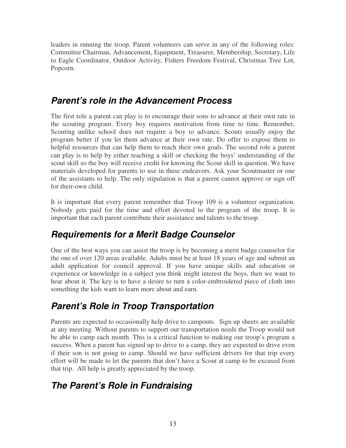leaders in running the troop. Parent volunteers can serve in any of the following roles: Committee Chairman, Advancement, Equipment, Treasurer, Membership, Secretary, Life to Eagle Coordinator, Outdoor Activity, Fishers Freedom Festival, Christmas Tree Lot, Popcorn.

#### **Parent's role in the Advancement Process**

The first role a parent can play is to encourage their sons to advance at their own rate in the scouting program. Every boy requires motivation from time to time. Remember, Scouting unlike school does not require a boy to advance. Scouts usually enjoy the program better if you let them advance at their own rate. Do offer to expose them to helpful resources that can help them to reach their own goals. The second role a parent can play is to help by either teaching a skill or checking the boys' understanding of the scout skill so the boy will receive credit for knowing the Scout skill in question. We have materials developed for parents to use in these endeavors. Ask your Scoutmaster or one of the assistants to help. The only stipulation is that a parent cannot approve or sign off for their-own child.

It is important that every parent remember that Troop 109 is a volunteer organization. Nobody gets paid for the time and effort devoted to the program of the troop. It is important that each parent contribute their assistance and talents to the troop.

#### **Requirements for a Merit Badge Counselor**

One of the best ways you can assist the troop is by becoming a merit badge counselor for the one of over 120 areas available. Adults must be at least 18 years of age and submit an adult application for council approval. If you have unique skills and education or experience or knowledge in a subject you think might interest the boys, then we want to hear about it. The key is to have a desire to turn a color-embroidered piece of cloth into something the kids want to learn more about and earn.

#### **Parent's Role in Troop Transportation**

Parents are expected to occasionally help drive to campouts. Sign up sheets are available at any meeting. Without parents to support our transportation needs the Troop would not be able to camp each month. This is a critical function to making our troop's program a success. When a parent has signed up to drive to a camp, they are expected to drive even if their son is not going to camp. Should we have sufficient drivers for that trip every effort will be made to let the parents that don't have a Scout at camp to be excused from that trip. All help is greatly appreciated by the troop.

#### **The Parent's Role in Fundraising**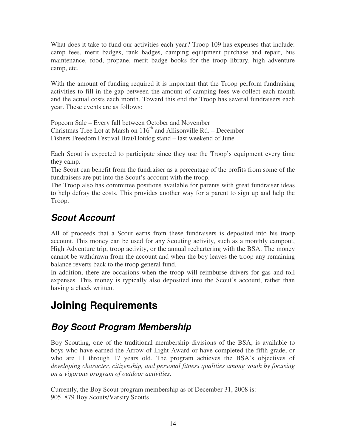What does it take to fund our activities each year? Troop 109 has expenses that include: camp fees, merit badges, rank badges, camping equipment purchase and repair, bus maintenance, food, propane, merit badge books for the troop library, high adventure camp, etc.

With the amount of funding required it is important that the Troop perform fundraising activities to fill in the gap between the amount of camping fees we collect each month and the actual costs each month. Toward this end the Troop has several fundraisers each year. These events are as follows:

Popcorn Sale – Every fall between October and November Christmas Tree Lot at Marsh on  $116<sup>th</sup>$  and Allisonville Rd. – December Fishers Freedom Festival Brat/Hotdog stand – last weekend of June

Each Scout is expected to participate since they use the Troop's equipment every time they camp.

The Scout can benefit from the fundraiser as a percentage of the profits from some of the fundraisers are put into the Scout's account with the troop.

The Troop also has committee positions available for parents with great fundraiser ideas to help defray the costs. This provides another way for a parent to sign up and help the Troop.

## **Scout Account**

All of proceeds that a Scout earns from these fundraisers is deposited into his troop account. This money can be used for any Scouting activity, such as a monthly campout, High Adventure trip, troop activity, or the annual rechartering with the BSA. The money cannot be withdrawn from the account and when the boy leaves the troop any remaining balance reverts back to the troop general fund.

In addition, there are occasions when the troop will reimburse drivers for gas and toll expenses. This money is typically also deposited into the Scout's account, rather than having a check written.

# **Joining Requirements**

#### **Boy Scout Program Membership**

Boy Scouting, one of the traditional membership divisions of the BSA, is available to boys who have earned the Arrow of Light Award or have completed the fifth grade, or who are 11 through 17 years old. The program achieves the BSA's objectives of *developing character, citizenship, and personal fitness qualities among youth by focusing on a vigorous program of outdoor activities.* 

Currently, the Boy Scout program membership as of December 31, 2008 is: 905, 879 Boy Scouts/Varsity Scouts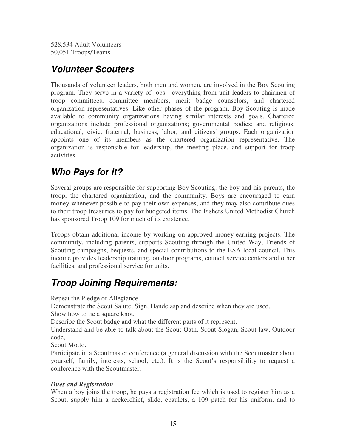528,534 Adult Volunteers 50,051 Troops/Teams

#### **Volunteer Scouters**

Thousands of volunteer leaders, both men and women, are involved in the Boy Scouting program. They serve in a variety of jobs—everything from unit leaders to chairmen of troop committees, committee members, merit badge counselors, and chartered organization representatives. Like other phases of the program, Boy Scouting is made available to community organizations having similar interests and goals. Chartered organizations include professional organizations; governmental bodies; and religious, educational, civic, fraternal, business, labor, and citizens' groups. Each organization appoints one of its members as the chartered organization representative. The organization is responsible for leadership, the meeting place, and support for troop activities.

#### **Who Pays for It?**

Several groups are responsible for supporting Boy Scouting: the boy and his parents, the troop, the chartered organization, and the community. Boys are encouraged to earn money whenever possible to pay their own expenses, and they may also contribute dues to their troop treasuries to pay for budgeted items. The Fishers United Methodist Church has sponsored Troop 109 for much of its existence.

Troops obtain additional income by working on approved money-earning projects. The community, including parents, supports Scouting through the United Way, Friends of Scouting campaigns, bequests, and special contributions to the BSA local council. This income provides leadership training, outdoor programs, council service centers and other facilities, and professional service for units.

#### **Troop Joining Requirements:**

Repeat the Pledge of Allegiance.

Demonstrate the Scout Salute, Sign, Handclasp and describe when they are used.

Show how to tie a square knot.

Describe the Scout badge and what the different parts of it represent.

Understand and be able to talk about the Scout Oath, Scout Slogan, Scout law, Outdoor code,

Scout Motto.

Participate in a Scoutmaster conference (a general discussion with the Scoutmaster about yourself, family, interests, school, etc.). It is the Scout's responsibility to request a conference with the Scoutmaster.

#### *Dues and Registration*

When a boy joins the troop, he pays a registration fee which is used to register him as a Scout, supply him a neckerchief, slide, epaulets, a 109 patch for his uniform, and to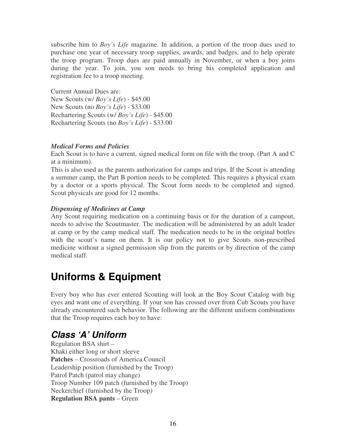subscribe him to *Boy's Life* magazine. In addition, a portion of the troop dues used to purchase one year of necessary troop supplies, awards, and badges, and to help operate the troop program. Troop dues are paid annually in November, or when a boy joins during the year. To join, you son needs to bring his completed application and registration fee to a troop meeting.

Current Annual Dues are: New Scouts (w/ *Boy's Life*) - \$45.00 New Scouts (no *Boy's Life*) - \$33.00 Rechartering Scouts (w/ *Boy's Life*) - \$45.00 Rechartering Scouts (no *Boy's Life*) - \$33.00

#### *Medical Forms and Policies*

Each Scout is to have a current, signed medical form on file with the troop. (Part A and C at a minimum).

This is also used as the parents authorization for camps and trips. If the Scout is attending a summer camp, the Part B portion needs to be completed. This requires a physical exam by a doctor or a sports physical. The Scout form needs to be completed and signed. Scout physicals are good for 12 months.

#### *Dispensing of Medicines at Camp*

Any Scout requiring medication on a continuing basis or for the duration of a campout, needs to advise the Scoutmaster. The medication will be administered by an adult leader at camp or by the camp medical staff. The medication needs to be in the original bottles with the scout's name on them. It is our policy not to give Scouts non-prescribed medicine without a signed permission slip from the parents or by direction of the camp medical staff.

# **Uniforms & Equipment**

Every boy who has ever entered Scouting will look at the Boy Scout Catalog with big eyes and want one of everything. If your son has crossed over from Cub Scouts you have already encountered such behavior. The following are the different uniform combinations that the Troop requires each boy to have:

## **Class 'A' Uniform**

Regulation BSA shirt – Khaki either long or short sleeve **Patches** – Crossroads of America Council Leadership position (furnished by the Troop) Patrol Patch (patrol may change) Troop Number 109 patch (furnished by the Troop) Neckerchief (furnished by the Troop) **Regulation BSA pants** – Green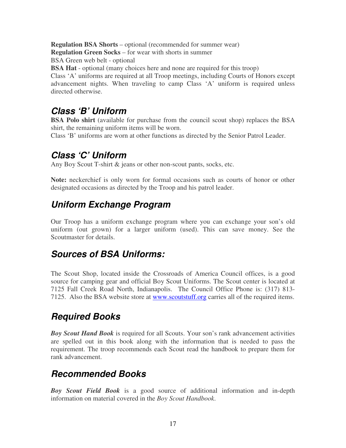**Regulation BSA Shorts** – optional (recommended for summer wear) **Regulation Green Socks** – for wear with shorts in summer BSA Green web belt - optional **BSA Hat** - optional (many choices here and none are required for this troop) Class 'A' uniforms are required at all Troop meetings, including Courts of Honors except advancement nights. When traveling to camp Class 'A' uniform is required unless directed otherwise.

#### **Class 'B' Uniform**

**BSA Polo shirt** (available for purchase from the council scout shop) replaces the BSA shirt, the remaining uniform items will be worn.

Class 'B' uniforms are worn at other functions as directed by the Senior Patrol Leader.

#### **Class 'C' Uniform**

Any Boy Scout T-shirt & jeans or other non-scout pants, socks, etc.

**Note:** neckerchief is only worn for formal occasions such as courts of honor or other designated occasions as directed by the Troop and his patrol leader.

#### **Uniform Exchange Program**

Our Troop has a uniform exchange program where you can exchange your son's old uniform (out grown) for a larger uniform (used). This can save money. See the Scoutmaster for details.

#### **Sources of BSA Uniforms:**

The Scout Shop, located inside the Crossroads of America Council offices, is a good source for camping gear and official Boy Scout Uniforms. The Scout center is located at 7125 Fall Creek Road North, Indianapolis. The Council Office Phone is: (317) 813- 7125. Also the BSA website store at www.scoutstuff.org carries all of the required items.

#### **Required Books**

*Boy Scout Hand Book* is required for all Scouts. Your son's rank advancement activities are spelled out in this book along with the information that is needed to pass the requirement. The troop recommends each Scout read the handbook to prepare them for rank advancement.

#### **Recommended Books**

*Boy Scout Field Book* is a good source of additional information and in-depth information on material covered in the *Boy Scout Handbook*.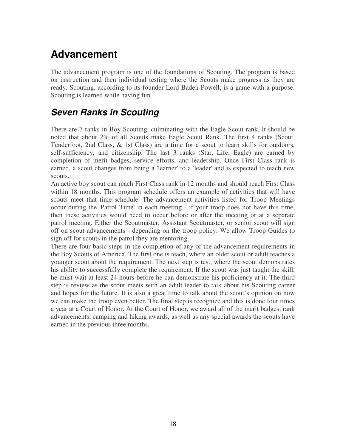# **Advancement**

The advancement program is one of the foundations of Scouting. The program is based on instruction and then individual testing where the Scouts make progress as they are ready. Scouting, according to its founder Lord Baden-Powell, is a game with a purpose. Scouting is learned while having fun.

#### **Seven Ranks in Scouting**

There are 7 ranks in Boy Scouting, culminating with the Eagle Scout rank. It should be noted that about 2% of all Scouts make Eagle Scout Rank. The first 4 ranks (Scout, Tenderfoot, 2nd Class, & 1st Class) are a time for a scout to learn skills for outdoors, self-sufficiency, and citizenship. The last 3 ranks (Star, Life, Eagle) are earned by completion of merit badges, service efforts, and leadership. Once First Class rank is earned, a scout changes from being a 'learner' to a 'leader' and is expected to teach new scouts.

An active boy scout can reach First Class rank in 12 months and should reach First Class within 18 months. This program schedule offers an example of activities that will have scouts meet that time schedule. The advancement activities listed for Troop Meetings occur during the 'Patrol Time' in each meeting - if your troop does not have this time, then these activities would need to occur before or after the meeting or at a separate patrol meeting. Either the Scoutmaster, Assistant Scoutmaster, or senior scout will sign off on scout advancements - depending on the troop policy. We allow Troop Guides to sign off for scouts in the patrol they are mentoring.

There are four basic steps in the completion of any of the advancement requirements in the Boy Scouts of America. The first one is teach, where an older scout or adult teaches a younger scout about the requirement. The next step is test, where the scout demonstrates his ability to successfully complete the requirement. If the scout was just taught the skill, he must wait at least 24 hours before he can demonstrate his proficiency at it. The third step is review as the scout meets with an adult leader to talk about his Scouting career and hopes for the future. It is also a great time to talk about the scout's opinion on how we can make the troop even better. The final step is recognize and this is done four times a year at a Court of Honor. At the Court of Honor, we award all of the merit badges, rank advancements, camping and hiking awards, as well as any special awards the scouts have earned in the previous three months.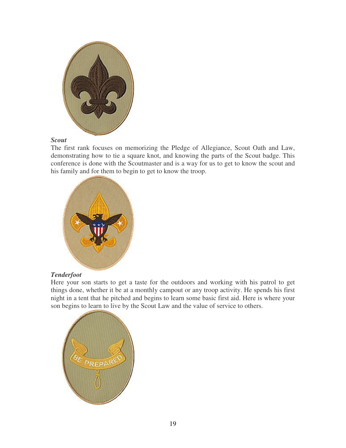

#### *Scout*

The first rank focuses on memorizing the Pledge of Allegiance, Scout Oath and Law, demonstrating how to tie a square knot, and knowing the parts of the Scout badge. This conference is done with the Scoutmaster and is a way for us to get to know the scout and his family and for them to begin to get to know the troop.



#### *Tenderfoot*

Here your son starts to get a taste for the outdoors and working with his patrol to get things done, whether it be at a monthly campout or any troop activity. He spends his first night in a tent that he pitched and begins to learn some basic first aid. Here is where your son begins to learn to live by the Scout Law and the value of service to others.

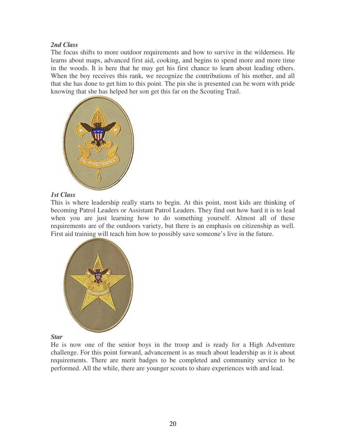#### *2nd Class*

The focus shifts to more outdoor requirements and how to survive in the wilderness. He learns about maps, advanced first aid, cooking, and begins to spend more and more time in the woods. It is here that he may get his first chance to learn about leading others. When the boy receives this rank, we recognize the contributions of his mother, and all that she has done to get him to this point. The pin she is presented can be worn with pride knowing that she has helped her son get this far on the Scouting Trail.



#### *1st Class*

This is where leadership really starts to begin. At this point, most kids are thinking of becoming Patrol Leaders or Assistant Patrol Leaders. They find out how hard it is to lead when you are just learning how to do something yourself. Almost all of these requirements are of the outdoors variety, but there is an emphasis on citizenship as well. First aid training will teach him how to possibly save someone's live in the future.



#### *Star*

He is now one of the senior boys in the troop and is ready for a High Adventure challenge. For this point forward, advancement is as much about leadership as it is about requirements. There are merit badges to be completed and community service to be performed. All the while, there are younger scouts to share experiences with and lead.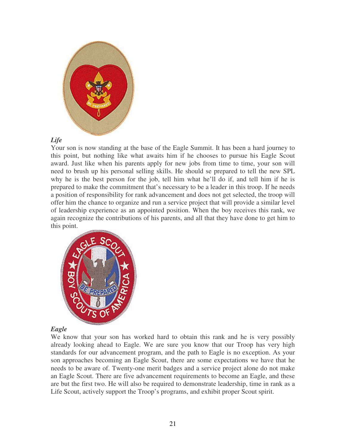

#### *Life*

Your son is now standing at the base of the Eagle Summit. It has been a hard journey to this point, but nothing like what awaits him if he chooses to pursue his Eagle Scout award. Just like when his parents apply for new jobs from time to time, your son will need to brush up his personal selling skills. He should se prepared to tell the new SPL why he is the best person for the job, tell him what he'll do if, and tell him if he is prepared to make the commitment that's necessary to be a leader in this troop. If he needs a position of responsibility for rank advancement and does not get selected, the troop will offer him the chance to organize and run a service project that will provide a similar level of leadership experience as an appointed position. When the boy receives this rank, we again recognize the contributions of his parents, and all that they have done to get him to this point.



#### *Eagle*

We know that your son has worked hard to obtain this rank and he is very possibly already looking ahead to Eagle. We are sure you know that our Troop has very high standards for our advancement program, and the path to Eagle is no exception. As your son approaches becoming an Eagle Scout, there are some expectations we have that he needs to be aware of. Twenty-one merit badges and a service project alone do not make an Eagle Scout. There are five advancement requirements to become an Eagle, and these are but the first two. He will also be required to demonstrate leadership, time in rank as a Life Scout, actively support the Troop's programs, and exhibit proper Scout spirit.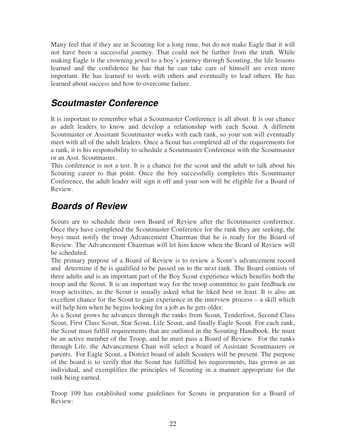Many feel that if they are in Scouting for a long time, but do not make Eagle that it will not have been a successful journey. That could not be further from the truth. While making Eagle is the crowning jewel to a boy's journey through Scouting, the life lessons learned and the confidence he has that he can take care of himself are even more important. He has learned to work with others and eventually to lead others. He has learned about success and how to overcome failure.

#### **Scoutmaster Conference**

It is important to remember what a Scoutmaster Conference is all about. It is our chance as adult leaders to know and develop a relationship with each Scout. A different Scoutmaster or Assistant Scoutmaster works with each rank, so your son will eventually meet with all of the adult leaders. Once a Scout has completed all of the requirements for a rank, it is his responsibility to schedule a Scoutmaster Conference with the Scoutmaster or an Asst. Scoutmaster.

This conference is not a test. It is a chance for the scout and the adult to talk about his Scouting career to that point. Once the boy successfully completes this Scoutmaster Conference, the adult leader will sign it off and your son will be eligible for a Board of Review.

#### **Boards of Review**

Scouts are to schedule their own Board of Review after the Scoutmaster conference. Once they have completed the Scoutmaster Conference for the rank they are seeking, the boys must notify the troop Advancement Chairman that he is ready for the Board of Review. The Advancement Chairman will let him know when the Board of Review will be scheduled.

The primary purpose of a Board of Review is to review a Scout's advancement record and determine if he is qualified to be passed on to the next rank. The Board consists of three adults and is an important part of the Boy Scout experience which benefits both the troop and the Scout. It is an important way for the troop committee to gain feedback on troop activities, as the Scout is usually asked what he liked best or least. It is also an excellent chance for the Scout to gain experience in the interview process – a skill which will help him when he begins looking for a job as he gets older.

As a Scout grows he advances through the ranks from Scout, Tenderfoot, Second Class Scout, First Class Scout, Star Scout, Life Scout, and finally Eagle Scout. For each rank, the Scout must fulfill requirements that are outlined in the Scouting Handbook. He must be an active member of the Troop, and he must pass a Board of Review. For the ranks through Life, the Advancement Chair will select a board of Assistant Scoutmasters or parents. For Eagle Scout, a District board of adult Scouters will be present. The purpose of the board is to verify that the Scout has fulfilled his requirements, has grown as an individual, and exemplifies the principles of Scouting in a manner appropriate for the rank being earned.

Troop 109 has established some guidelines for Scouts in preparation for a Board of Review: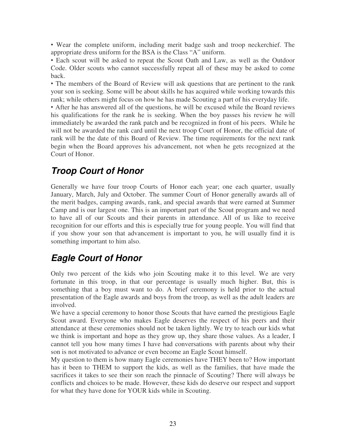• Wear the complete uniform, including merit badge sash and troop neckerchief. The appropriate dress uniform for the BSA is the Class "A" uniform.

• Each scout will be asked to repeat the Scout Oath and Law, as well as the Outdoor Code. Older scouts who cannot successfully repeat all of these may be asked to come back.

• The members of the Board of Review will ask questions that are pertinent to the rank your son is seeking. Some will be about skills he has acquired while working towards this rank; while others might focus on how he has made Scouting a part of his everyday life.

• After he has answered all of the questions, he will be excused while the Board reviews his qualifications for the rank he is seeking. When the boy passes his review he will immediately be awarded the rank patch and be recognized in front of his peers. While he will not be awarded the rank card until the next troop Court of Honor, the official date of rank will be the date of this Board of Review. The time requirements for the next rank begin when the Board approves his advancement, not when he gets recognized at the Court of Honor.

## **Troop Court of Honor**

Generally we have four troop Courts of Honor each year; one each quarter, usually January, March, July and October. The summer Court of Honor generally awards all of the merit badges, camping awards, rank, and special awards that were earned at Summer Camp and is our largest one. This is an important part of the Scout program and we need to have all of our Scouts and their parents in attendance. All of us like to receive recognition for our efforts and this is especially true for young people. You will find that if you show your son that advancement is important to you, he will usually find it is something important to him also.

#### **Eagle Court of Honor**

Only two percent of the kids who join Scouting make it to this level. We are very fortunate in this troop, in that our percentage is usually much higher. But, this is something that a boy must want to do. A brief ceremony is held prior to the actual presentation of the Eagle awards and boys from the troop, as well as the adult leaders are involved.

We have a special ceremony to honor those Scouts that have earned the prestigious Eagle Scout award. Everyone who makes Eagle deserves the respect of his peers and their attendance at these ceremonies should not be taken lightly. We try to teach our kids what we think is important and hope as they grow up, they share those values. As a leader, I cannot tell you how many times I have had conversations with parents about why their son is not motivated to advance or even become an Eagle Scout himself.

My question to them is how many Eagle ceremonies have THEY been to? How important has it been to THEM to support the kids, as well as the families, that have made the sacrifices it takes to see their son reach the pinnacle of Scouting? There will always be conflicts and choices to be made. However, these kids do deserve our respect and support for what they have done for YOUR kids while in Scouting.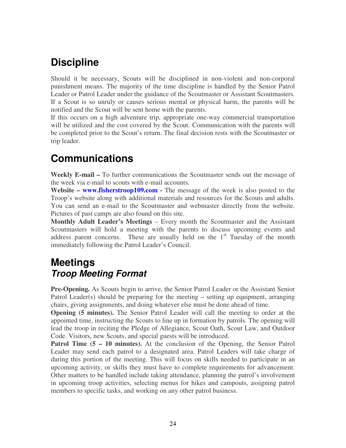# **Discipline**

Should it be necessary, Scouts will be disciplined in non-violent and non-corporal punishment means. The majority of the time discipline is handled by the Senior Patrol Leader or Patrol Leader under the guidance of the Scoutmaster or Assistant Scoutmasters. If a Scout is so unruly or causes serious mental or physical harm, the parents will be notified and the Scout will be sent home with the parents.

If this occurs on a high adventure trip, appropriate one-way commercial transportation will be utilized and the cost covered by the Scout. Communication with the parents will be completed prior to the Scout's return. The final decision rests with the Scoutmaster or trip leader.

# **Communications**

**Weekly E-mail –** To further communications the Scoutmaster sends out the message of the week via e-mail to scouts with e-mail accounts.

**Website – www.fisherstroop109.com -** The message of the week is also posted to the Troop's website along with additional materials and resources for the Scouts and adults. You can send an e-mail to the Scoutmaster and webmaster directly from the website. Pictures of past camps are also found on this site.

**Monthly Adult Leader's Meetings** – Every month the Scoutmaster and the Assistant Scoutmasters will hold a meeting with the parents to discuss upcoming events and address parent concerns. These are usually held on the  $1<sup>st</sup>$  Tuesday of the month immediately following the Patrol Leader's Council.

#### **Meetings Troop Meeting Format**

**Pre-Opening.** As Scouts begin to arrive, the Senior Patrol Leader or the Assistant Senior Patrol Leader(s) should be preparing for the meeting – setting up equipment, arranging chairs, giving assignments, and doing whatever else must be done ahead of time.

**Opening (5 minutes).** The Senior Patrol Leader will call the meeting to order at the appointed time, instructing the Scouts to line up in formation by patrols. The opening will lead the troop in reciting the Pledge of Allegiance, Scout Oath, Scout Law, and Outdoor Code. Visitors, new Scouts, and special guests will be introduced.

**Patrol Time (5 – 10 minutes).** At the conclusion of the Opening, the Senior Patrol Leader may send each patrol to a designated area. Patrol Leaders will take charge of during this portion of the meeting. This will focus on skills needed to participate in an upcoming activity, or skills they must have to complete requirements for advancement. Other matters to be handled include taking attendance, planning the patrol's involvement in upcoming troop activities, selecting menus for hikes and campouts, assigning patrol members to specific tasks, and working on any other patrol business.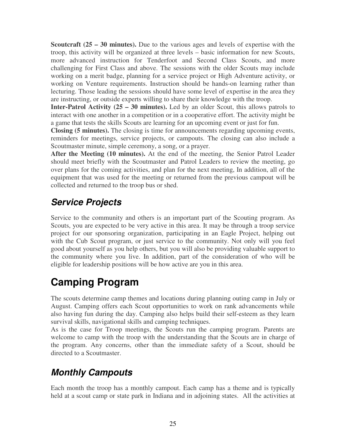**Scoutcraft (25 – 30 minutes).** Due to the various ages and levels of expertise with the troop, this activity will be organized at three levels – basic information for new Scouts, more advanced instruction for Tenderfoot and Second Class Scouts, and more challenging for First Class and above. The sessions with the older Scouts may include working on a merit badge, planning for a service project or High Adventure activity, or working on Venture requirements. Instruction should be hands-on learning rather than lecturing. Those leading the sessions should have some level of expertise in the area they are instructing, or outside experts willing to share their knowledge with the troop.

**Inter-Patrol Activity (25 – 30 minutes).** Led by an older Scout, this allows patrols to interact with one another in a competition or in a cooperative effort. The activity might be a game that tests the skills Scouts are learning for an upcoming event or just for fun.

**Closing (5 minutes).** The closing is time for announcements regarding upcoming events, reminders for meetings, service projects, or campouts. The closing can also include a Scoutmaster minute, simple ceremony, a song, or a prayer.

**After the Meeting (10 minutes).** At the end of the meeting, the Senior Patrol Leader should meet briefly with the Scoutmaster and Patrol Leaders to review the meeting, go over plans for the coming activities, and plan for the next meeting, In addition, all of the equipment that was used for the meeting or returned from the previous campout will be collected and returned to the troop bus or shed.

#### **Service Projects**

Service to the community and others is an important part of the Scouting program. As Scouts, you are expected to be very active in this area. It may be through a troop service project for our sponsoring organization, participating in an Eagle Project, helping out with the Cub Scout program, or just service to the community. Not only will you feel good about yourself as you help others, but you will also be providing valuable support to the community where you live. In addition, part of the consideration of who will be eligible for leadership positions will be how active are you in this area.

# **Camping Program**

The scouts determine camp themes and locations during planning outing camp in July or August. Camping offers each Scout opportunities to work on rank advancements while also having fun during the day. Camping also helps build their self-esteem as they learn survival skills, navigational skills and camping techniques.

As is the case for Troop meetings, the Scouts run the camping program. Parents are welcome to camp with the troop with the understanding that the Scouts are in charge of the program. Any concerns, other than the immediate safety of a Scout, should be directed to a Scoutmaster.

# **Monthly Campouts**

Each month the troop has a monthly campout. Each camp has a theme and is typically held at a scout camp or state park in Indiana and in adjoining states. All the activities at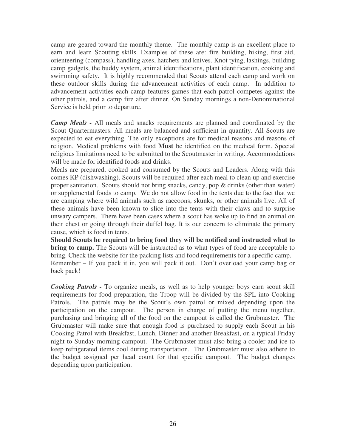camp are geared toward the monthly theme. The monthly camp is an excellent place to earn and learn Scouting skills. Examples of these are: fire building, hiking, first aid, orienteering (compass), handling axes, hatchets and knives. Knot tying, lashings, building camp gadgets, the buddy system, animal identifications, plant identification, cooking and swimming safety. It is highly recommended that Scouts attend each camp and work on these outdoor skills during the advancement activities of each camp. In addition to advancement activities each camp features games that each patrol competes against the other patrols, and a camp fire after dinner. On Sunday mornings a non-Denominational Service is held prior to departure.

*Camp Meals -* All meals and snacks requirements are planned and coordinated by the Scout Quartermasters. All meals are balanced and sufficient in quantity. All Scouts are expected to eat everything. The only exceptions are for medical reasons and reasons of religion. Medical problems with food **Must** be identified on the medical form. Special religious limitations need to be submitted to the Scoutmaster in writing. Accommodations will be made for identified foods and drinks.

Meals are prepared, cooked and consumed by the Scouts and Leaders. Along with this comes KP (dishwashing). Scouts will be required after each meal to clean up and exercise proper sanitation. Scouts should not bring snacks, candy, pop & drinks (other than water) or supplemental foods to camp. We do not allow food in the tents due to the fact that we are camping where wild animals such as raccoons, skunks, or other animals live. All of these animals have been known to slice into the tents with their claws and to surprise unwary campers. There have been cases where a scout has woke up to find an animal on their chest or going through their duffel bag. It is our concern to eliminate the primary cause, which is food in tents.

**Should Scouts be required to bring food they will be notified and instructed what to bring to camp.** The Scouts will be instructed as to what types of food are acceptable to bring. Check the website for the packing lists and food requirements for a specific camp. Remember – If you pack it in, you will pack it out. Don't overload your camp bag or back pack!

*Cooking Patrols -* To organize meals, as well as to help younger boys earn scout skill requirements for food preparation, the Troop will be divided by the SPL into Cooking Patrols. The patrols may be the Scout's own patrol or mixed depending upon the participation on the campout. The person in charge of putting the menu together, purchasing and bringing all of the food on the campout is called the Grubmaster. The Grubmaster will make sure that enough food is purchased to supply each Scout in his Cooking Patrol with Breakfast, Lunch, Dinner and another Breakfast, on a typical Friday night to Sunday morning campout. The Grubmaster must also bring a cooler and ice to keep refrigerated items cool during transportation. The Grubmaster must also adhere to the budget assigned per head count for that specific campout. The budget changes depending upon participation.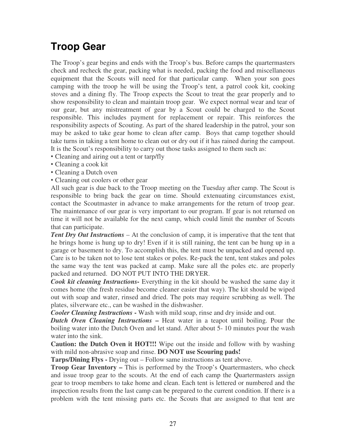# **Troop Gear**

The Troop's gear begins and ends with the Troop's bus. Before camps the quartermasters check and recheck the gear, packing what is needed, packing the food and miscellaneous equipment that the Scouts will need for that particular camp. When your son goes camping with the troop he will be using the Troop's tent, a patrol cook kit, cooking stoves and a dining fly. The Troop expects the Scout to treat the gear properly and to show responsibility to clean and maintain troop gear. We expect normal wear and tear of our gear, but any mistreatment of gear by a Scout could be charged to the Scout responsible. This includes payment for replacement or repair. This reinforces the responsibility aspects of Scouting. As part of the shared leadership in the patrol, your son may be asked to take gear home to clean after camp. Boys that camp together should take turns in taking a tent home to clean out or dry out if it has rained during the campout. It is the Scout's responsibility to carry out those tasks assigned to them such as:

- Cleaning and airing out a tent or tarp/fly
- Cleaning a cook kit
- Cleaning a Dutch oven
- Cleaning out coolers or other gear

All such gear is due back to the Troop meeting on the Tuesday after camp. The Scout is responsible to bring back the gear on time. Should extenuating circumstances exist, contact the Scoutmaster in advance to make arrangements for the return of troop gear. The maintenance of our gear is very important to our program. If gear is not returned on time it will not be available for the next camp, which could limit the number of Scouts that can participate.

*Tent Dry Out Instructions* – At the conclusion of camp, it is imperative that the tent that he brings home is hung up to dry! Even if it is still raining, the tent can be hung up in a garage or basement to dry. To accomplish this, the tent must be unpacked and opened up. Care is to be taken not to lose tent stakes or poles. Re-pack the tent, tent stakes and poles the same way the tent was packed at camp. Make sure all the poles etc. are properly packed and returned. DO NOT PUT INTO THE DRYER.

*Cook kit cleaning Instructions-* Everything in the kit should be washed the same day it comes home (the fresh residue become cleaner easier that way). The kit should be wiped out with soap and water, rinsed and dried. The pots may require scrubbing as well. The plates, silverware etc., can be washed in the dishwasher.

*Cooler Cleaning Instructions* **-** Wash with mild soap, rinse and dry inside and out.

*Dutch Oven Cleaning Instructions –* Heat water in a teapot until boiling. Pour the boiling water into the Dutch Oven and let stand. After about 5- 10 minutes pour the wash water into the sink.

**Caution: the Dutch Oven it HOT!!!** Wipe out the inside and follow with by washing with mild non-abrasive soap and rinse. **DO NOT use Scouring pads!** 

**Tarps/Dining Flys -** Drying out – Follow same instructions as tent above.

**Troop Gear Inventory – This is performed by the Troop's Quartermasters, who check** and issue troop gear to the scouts. At the end of each camp the Quartermasters assign gear to troop members to take home and clean. Each tent is lettered or numbered and the inspection results from the last camp can be prepared to the current condition. If there is a problem with the tent missing parts etc. the Scouts that are assigned to that tent are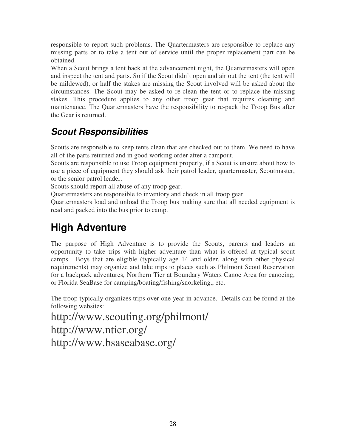responsible to report such problems. The Quartermasters are responsible to replace any missing parts or to take a tent out of service until the proper replacement part can be obtained.

When a Scout brings a tent back at the advancement night, the Quartermasters will open and inspect the tent and parts. So if the Scout didn't open and air out the tent (the tent will be mildewed), or half the stakes are missing the Scout involved will be asked about the circumstances. The Scout may be asked to re-clean the tent or to replace the missing stakes. This procedure applies to any other troop gear that requires cleaning and maintenance. The Quartermasters have the responsibility to re-pack the Troop Bus after the Gear is returned.

#### **Scout Responsibilities**

Scouts are responsible to keep tents clean that are checked out to them. We need to have all of the parts returned and in good working order after a campout.

Scouts are responsible to use Troop equipment properly, if a Scout is unsure about how to use a piece of equipment they should ask their patrol leader, quartermaster, Scoutmaster, or the senior patrol leader.

Scouts should report all abuse of any troop gear.

Quartermasters are responsible to inventory and check in all troop gear.

Quartermasters load and unload the Troop bus making sure that all needed equipment is read and packed into the bus prior to camp.

# **High Adventure**

The purpose of High Adventure is to provide the Scouts, parents and leaders an opportunity to take trips with higher adventure than what is offered at typical scout camps. Boys that are eligible (typically age 14 and older, along with other physical requirements) may organize and take trips to places such as Philmont Scout Reservation for a backpack adventures, Northern Tier at Boundary Waters Canoe Area for canoeing, or Florida SeaBase for camping/boating/fishing/snorkeling,, etc.

The troop typically organizes trips over one year in advance. Details can be found at the following websites:

http://www.scouting.org/philmont/ http://www.ntier.org/ http://www.bsaseabase.org/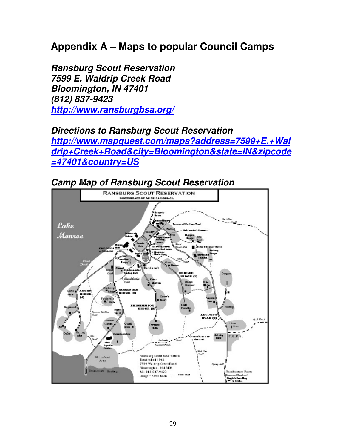### **Appendix A – Maps to popular Council Camps**

**Ransburg Scout Reservation 7599 E. Waldrip Creek Road Bloomington, IN 47401 (812) 837-9423 http://www.ransburgbsa.org/**

#### **Directions to Ransburg Scout Reservation**

**http://www.mapquest.com/maps?address=7599+E.+Wal drip+Creek+Road&city=Bloomington&state=IN&zipcode =47401&country=US**



#### **Camp Map of Ransburg Scout Reservation**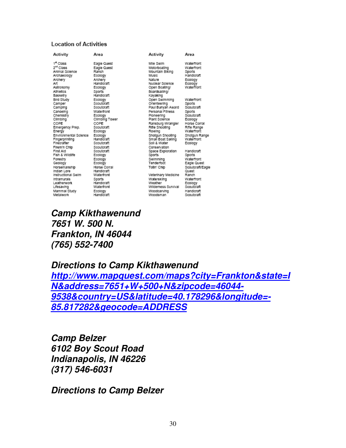#### **Location of Activities**

Activity Area 1st Class Eagle Quest  $2<sup>nd</sup> Class$ Eagle Quest Animal Science Ranch Ecology Archaeology Archery Archery Handicraft Aπ Astronomy Ecology Athletics Sports Basketry Handloraft Ecology<br>Scoutcraft Bird Study Camper Camping Scoutcraft Canoelng Waterfront Chemistry Ecology Climbing Climbing Tower COPE COPE Emergency Prep. Scoutcraft Energy Ecology Environmental Science Ecology<br>Handicraft **Fingerprinting** Firecrafter Scoutcraft Firem'n Chip Scoutcraft First Aid Scoutcraft Fish & Wildlife Ecology Forestry Ecology Geology Ecology Horsemanship Horse Corral Indian Lore Handleraft instructional Swim Waterfront Intramurals Sports Handleraft Leatherwork Lifesaving Waterfront Ecology<br>Handicraft Mammal Study Metalwork

Activity Mile Swim Motorboating Mountain Biking Music Nature Nuclear Science Open Boating/ Boardsalling/ Kayaking nayaning<br>Open Swimming<br>Paul Bunyan Award Waterfront Personal Fitness Ploneering Plant Science Ransburg Wrangler<br>Rifle Shooting Rowing Shotgun Shooting<br>Small Boat Salling Shotgun Range<br>Waterfront Soll & Water Conservation Space Exploration Sports Swimming Tenderfoot Totin' Chip Veterinary Medicine Ranch Waterskiing Weather Wilderness Survival Scoutcraft

Woodcarving

Woodsman

Area

Waterfront

Waterfront

Handlerant

Sports

Ecology Ecology<br>Waterfront

Sports

Scoutcraft

Sports<br>Scoutcraft

Horse Corral

Rifle Range

Waterfront

Ecology

Sports Waterfront

Quest

Handloraft

Eagle Quest

Waterfront

Ecology

Handloraft

Scoutcraft

Scoutcraft/Eagle

Ecology

**Camp Kikthawenund 7651 W. 500 N. Frankton, IN 46044 (765) 552-7400** 

**Directions to Camp Kikthawenund** 

**http://www.mapquest.com/maps?city=Frankton&state=I N&address=7651+W+500+N&zipcode=46044- 9538&country=US&latitude=40.178296&longitude=- 85.817282&geocode=ADDRESS**

**Camp Belzer 6102 Boy Scout Road Indianapolis, IN 46226 (317) 546-6031** 

**Directions to Camp Belzer**